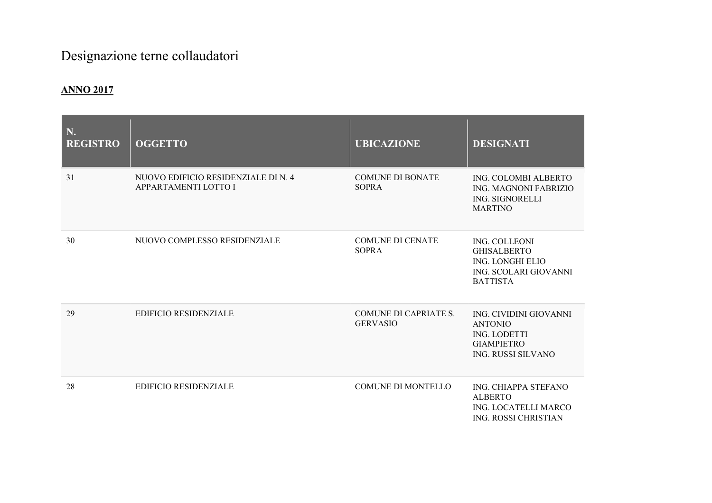## Designazione terne collaudatori

## ANNO 2017

| N.<br><b>REGISTRO</b> | <b>OGGETTO</b>                                              | <b>UBICAZIONE</b>                               | <b>DESIGNATI</b>                                                                                           |
|-----------------------|-------------------------------------------------------------|-------------------------------------------------|------------------------------------------------------------------------------------------------------------|
| 31                    | NUOVO EDIFICIO RESIDENZIALE DI N. 4<br>APPARTAMENTI LOTTO I | <b>COMUNE DI BONATE</b><br><b>SOPRA</b>         | ING. COLOMBI ALBERTO<br><b>ING. MAGNONI FABRIZIO</b><br>ING. SIGNORELLI<br><b>MARTINO</b>                  |
| 30                    | NUOVO COMPLESSO RESIDENZIALE                                | <b>COMUNE DI CENATE</b><br><b>SOPRA</b>         | ING. COLLEONI<br><b>GHISALBERTO</b><br>ING. LONGHI ELIO<br>ING. SCOLARI GIOVANNI<br><b>BATTISTA</b>        |
| 29                    | <b>EDIFICIO RESIDENZIALE</b>                                | <b>COMUNE DI CAPRIATE S.</b><br><b>GERVASIO</b> | ING. CIVIDINI GIOVANNI<br><b>ANTONIO</b><br><b>ING. LODETTI</b><br><b>GIAMPIETRO</b><br>ING. RUSSI SILVANO |
| 28                    | <b>EDIFICIO RESIDENZIALE</b>                                | <b>COMUNE DI MONTELLO</b>                       | ING. CHIAPPA STEFANO<br><b>ALBERTO</b><br><b>ING. LOCATELLI MARCO</b><br><b>ING. ROSSI CHRISTIAN</b>       |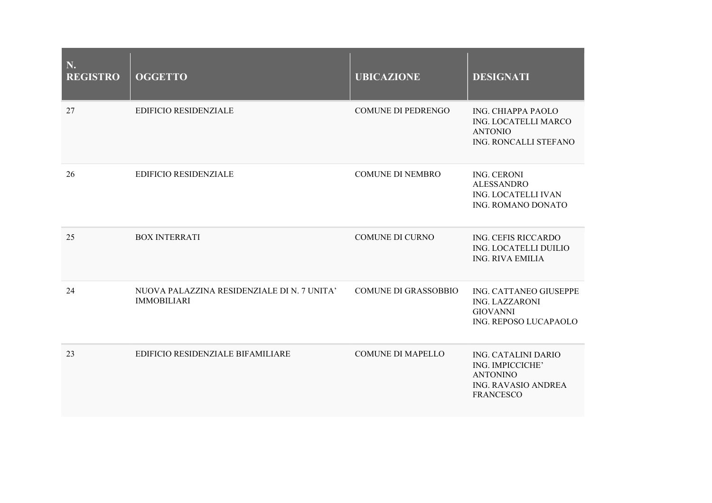| N.<br><b>REGISTRO</b> | <b>OGGETTO</b>                                                    | <b>UBICAZIONE</b>           | <b>DESIGNATI</b>                                                                                             |
|-----------------------|-------------------------------------------------------------------|-----------------------------|--------------------------------------------------------------------------------------------------------------|
| 27                    | <b>EDIFICIO RESIDENZIALE</b>                                      | <b>COMUNE DI PEDRENGO</b>   | <b>ING. CHIAPPA PAOLO</b><br>ING. LOCATELLI MARCO<br><b>ANTONIO</b><br>ING. RONCALLI STEFANO                 |
| 26                    | <b>EDIFICIO RESIDENZIALE</b>                                      | <b>COMUNE DI NEMBRO</b>     | <b>ING. CERONI</b><br><b>ALESSANDRO</b><br>ING. LOCATELLI IVAN<br>ING. ROMANO DONATO                         |
| 25                    | <b>BOX INTERRATI</b>                                              | COMUNE DI CURNO             | ING. CEFIS RICCARDO<br>ING. LOCATELLI DUILIO<br><b>ING. RIVA EMILIA</b>                                      |
| 24                    | NUOVA PALAZZINA RESIDENZIALE DI N. 7 UNITA'<br><b>IMMOBILIARI</b> | <b>COMUNE DI GRASSOBBIO</b> | ING. CATTANEO GIUSEPPE<br><b>ING. LAZZARONI</b><br><b>GIOVANNI</b><br>ING. REPOSO LUCAPAOLO                  |
| 23                    | EDIFICIO RESIDENZIALE BIFAMILIARE                                 | <b>COMUNE DI MAPELLO</b>    | ING. CATALINI DARIO<br>ING. IMPICCICHE'<br><b>ANTONINO</b><br><b>ING. RAVASIO ANDREA</b><br><b>FRANCESCO</b> |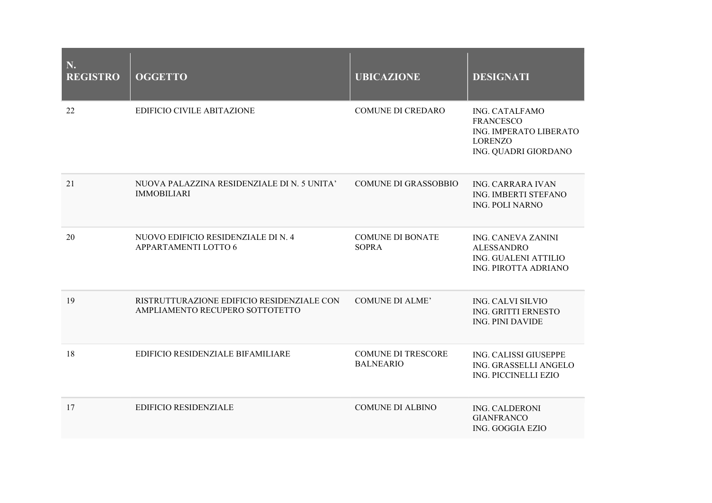| N.<br><b>REGISTRO</b> | <b>OGGETTO</b>                                                                | <b>UBICAZIONE</b>                             | <b>DESIGNATI</b>                                                                                              |
|-----------------------|-------------------------------------------------------------------------------|-----------------------------------------------|---------------------------------------------------------------------------------------------------------------|
| 22                    | EDIFICIO CIVILE ABITAZIONE                                                    | <b>COMUNE DI CREDARO</b>                      | <b>ING. CATALFAMO</b><br><b>FRANCESCO</b><br>ING. IMPERATO LIBERATO<br><b>LORENZO</b><br>ING. QUADRI GIORDANO |
| 21                    | NUOVA PALAZZINA RESIDENZIALE DI N. 5 UNITA'<br><b>IMMOBILIARI</b>             | <b>COMUNE DI GRASSOBBIO</b>                   | <b>ING. CARRARA IVAN</b><br><b>ING. IMBERTI STEFANO</b><br><b>ING. POLI NARNO</b>                             |
| 20                    | NUOVO EDIFICIO RESIDENZIALE DI N. 4<br>APPARTAMENTI LOTTO 6                   | <b>COMUNE DI BONATE</b><br><b>SOPRA</b>       | <b>ING. CANEVA ZANINI</b><br><b>ALESSANDRO</b><br>ING. GUALENI ATTILIO<br>ING. PIROTTA ADRIANO                |
| 19                    | RISTRUTTURAZIONE EDIFICIO RESIDENZIALE CON<br>AMPLIAMENTO RECUPERO SOTTOTETTO | <b>COMUNE DI ALME'</b>                        | <b>ING. CALVI SILVIO</b><br>ING. GRITTI ERNESTO<br><b>ING. PINI DAVIDE</b>                                    |
| 18                    | EDIFICIO RESIDENZIALE BIFAMILIARE                                             | <b>COMUNE DI TRESCORE</b><br><b>BALNEARIO</b> | ING. CALISSI GIUSEPPE<br>ING. GRASSELLI ANGELO<br>ING. PICCINELLI EZIO                                        |
| 17                    | <b>EDIFICIO RESIDENZIALE</b>                                                  | <b>COMUNE DI ALBINO</b>                       | ING. CALDERONI<br><b>GIANFRANCO</b><br><b>ING. GOGGIA EZIO</b>                                                |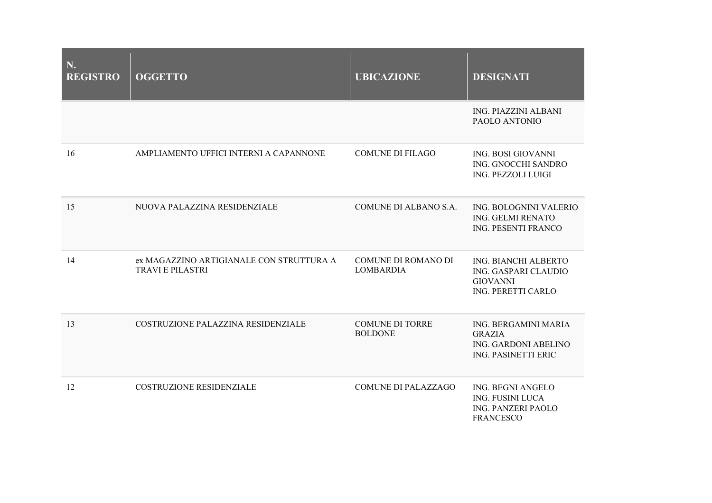| N.<br><b>REGISTRO</b> | <b>OGGETTO</b>                                                      | <b>UBICAZIONE</b>                        | <b>DESIGNATI</b>                                                                              |
|-----------------------|---------------------------------------------------------------------|------------------------------------------|-----------------------------------------------------------------------------------------------|
|                       |                                                                     |                                          | <b>ING. PIAZZINI ALBANI</b><br>PAOLO ANTONIO                                                  |
| 16                    | AMPLIAMENTO UFFICI INTERNI A CAPANNONE                              | <b>COMUNE DI FILAGO</b>                  | <b>ING. BOSI GIOVANNI</b><br>ING. GNOCCHI SANDRO<br><b>ING. PEZZOLI LUIGI</b>                 |
| 15                    | NUOVA PALAZZINA RESIDENZIALE                                        | COMUNE DI ALBANO S.A.                    | ING. BOLOGNINI VALERIO<br><b>ING. GELMI RENATO</b><br>ING. PESENTI FRANCO                     |
| 14                    | ex MAGAZZINO ARTIGIANALE CON STRUTTURA A<br><b>TRAVI E PILASTRI</b> | COMUNE DI ROMANO DI<br><b>LOMBARDIA</b>  | ING. BIANCHI ALBERTO<br>ING. GASPARI CLAUDIO<br><b>GIOVANNI</b><br>ING. PERETTI CARLO         |
| 13                    | COSTRUZIONE PALAZZINA RESIDENZIALE                                  | <b>COMUNE DI TORRE</b><br><b>BOLDONE</b> | ING. BERGAMINI MARIA<br><b>GRAZIA</b><br>ING. GARDONI ABELINO<br><b>ING. PASINETTI ERIC</b>   |
| 12                    | <b>COSTRUZIONE RESIDENZIALE</b>                                     | <b>COMUNE DI PALAZZAGO</b>               | ING. BEGNI ANGELO<br><b>ING. FUSINI LUCA</b><br><b>ING. PANZERI PAOLO</b><br><b>FRANCESCO</b> |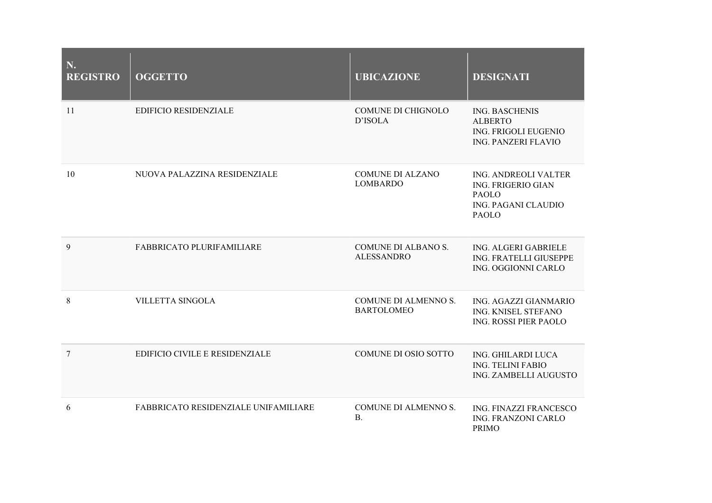| N.<br><b>REGISTRO</b> | <b>OGGETTO</b>                       | <b>UBICAZIONE</b>                         | <b>DESIGNATI</b>                                                                                                       |
|-----------------------|--------------------------------------|-------------------------------------------|------------------------------------------------------------------------------------------------------------------------|
| 11                    | <b>EDIFICIO RESIDENZIALE</b>         | <b>COMUNE DI CHIGNOLO</b><br>D'ISOLA      | <b>ING. BASCHENIS</b><br><b>ALBERTO</b><br>ING. FRIGOLI EUGENIO<br>ING. PANZERI FLAVIO                                 |
| 10                    | NUOVA PALAZZINA RESIDENZIALE         | COMUNE DI ALZANO<br><b>LOMBARDO</b>       | <b>ING. ANDREOLI VALTER</b><br><b>ING. FRIGERIO GIAN</b><br><b>PAOLO</b><br><b>ING. PAGANI CLAUDIO</b><br><b>PAOLO</b> |
| 9                     | FABBRICATO PLURIFAMILIARE            | COMUNE DI ALBANO S.<br><b>ALESSANDRO</b>  | ING. ALGERI GABRIELE<br>ING. FRATELLI GIUSEPPE<br>ING. OGGIONNI CARLO                                                  |
| $\,8\,$               | <b>VILLETTA SINGOLA</b>              | COMUNE DI ALMENNO S.<br><b>BARTOLOMEO</b> | ING. AGAZZI GIANMARIO<br>ING. KNISEL STEFANO<br>ING. ROSSI PIER PAOLO                                                  |
| $\overline{7}$        | EDIFICIO CIVILE E RESIDENZIALE       | COMUNE DI OSIO SOTTO                      | ING. GHILARDI LUCA<br><b>ING. TELINI FABIO</b><br>ING. ZAMBELLI AUGUSTO                                                |
| 6                     | FABBRICATO RESIDENZIALE UNIFAMILIARE | COMUNE DI ALMENNO S.<br><b>B.</b>         | ING. FINAZZI FRANCESCO<br>ING. FRANZONI CARLO<br><b>PRIMO</b>                                                          |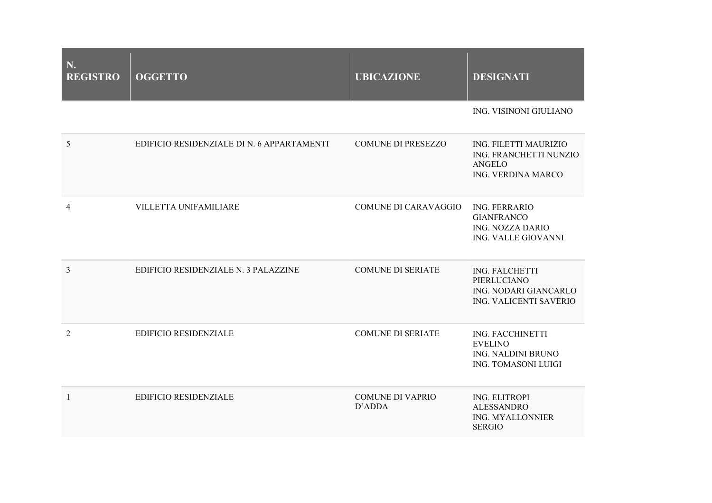| N.<br><b>REGISTRO</b> | <b>OGGETTO</b>                             | <b>UBICAZIONE</b>                 | <b>DESIGNATI</b>                                                                              |
|-----------------------|--------------------------------------------|-----------------------------------|-----------------------------------------------------------------------------------------------|
|                       |                                            |                                   | ING. VISINONI GIULIANO                                                                        |
| 5                     | EDIFICIO RESIDENZIALE DI N. 6 APPARTAMENTI | <b>COMUNE DI PRESEZZO</b>         | ING. FILETTI MAURIZIO<br>ING. FRANCHETTI NUNZIO<br><b>ANGELO</b><br><b>ING. VERDINA MARCO</b> |
| $\overline{4}$        | VILLETTA UNIFAMILIARE                      | <b>COMUNE DI CARAVAGGIO</b>       | <b>ING. FERRARIO</b><br><b>GIANFRANCO</b><br><b>ING. NOZZA DARIO</b><br>ING. VALLE GIOVANNI   |
| $\overline{3}$        | EDIFICIO RESIDENZIALE N. 3 PALAZZINE       | <b>COMUNE DI SERIATE</b>          | <b>ING. FALCHETTI</b><br>PIERLUCIANO<br>ING. NODARI GIANCARLO<br>ING. VALICENTI SAVERIO       |
| $\overline{2}$        | <b>EDIFICIO RESIDENZIALE</b>               | <b>COMUNE DI SERIATE</b>          | ING. FACCHINETTI<br><b>EVELINO</b><br>ING. NALDINI BRUNO<br><b>ING. TOMASONI LUIGI</b>        |
| $\mathbf{1}$          | <b>EDIFICIO RESIDENZIALE</b>               | <b>COMUNE DI VAPRIO</b><br>D'ADDA | <b>ING. ELITROPI</b><br><b>ALESSANDRO</b><br>ING. MYALLONNIER<br><b>SERGIO</b>                |